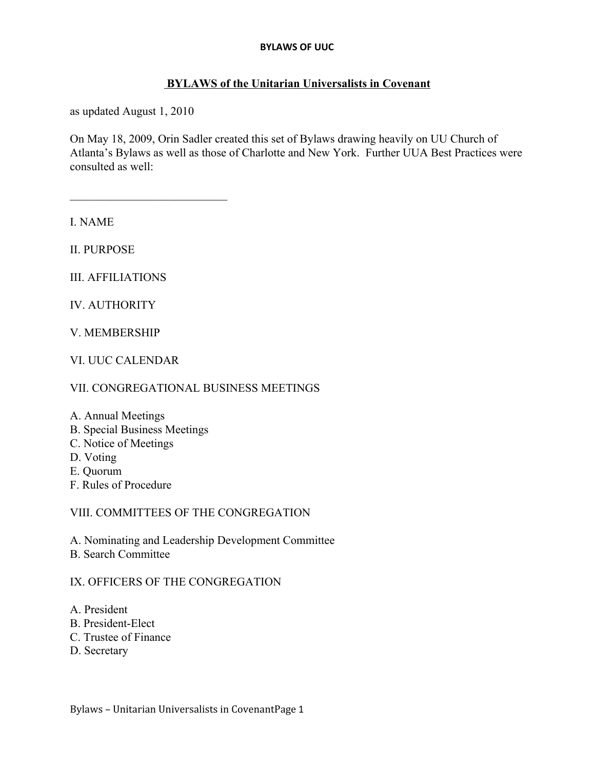#### **BYLAWS of the Unitarian Universalists in Covenant**

as updated August 1, 2010

 $\mathcal{L}_\text{max}$  , where  $\mathcal{L}_\text{max}$  and  $\mathcal{L}_\text{max}$ 

On May 18, 2009, Orin Sadler created this set of Bylaws drawing heavily on UU Church of Atlanta's Bylaws as well as those of Charlotte and New York. Further UUA Best Practices were consulted as well:

I. NAME

II. PURPOSE

III. AFFILIATIONS

IV. AUTHORITY

V. MEMBERSHIP

VI. UUC CALENDAR

VII. CONGREGATIONAL BUSINESS MEETINGS

- A. Annual Meetings
- B. Special Business Meetings
- C. Notice of Meetings
- D. Voting
- E. Quorum
- F. Rules of Procedure

VIII. COMMITTEES OF THE CONGREGATION

- A. Nominating and Leadership Development Committee
- B. Search Committee

### IX. OFFICERS OF THE CONGREGATION

- A. President
- B. President-Elect
- C. Trustee of Finance
- D. Secretary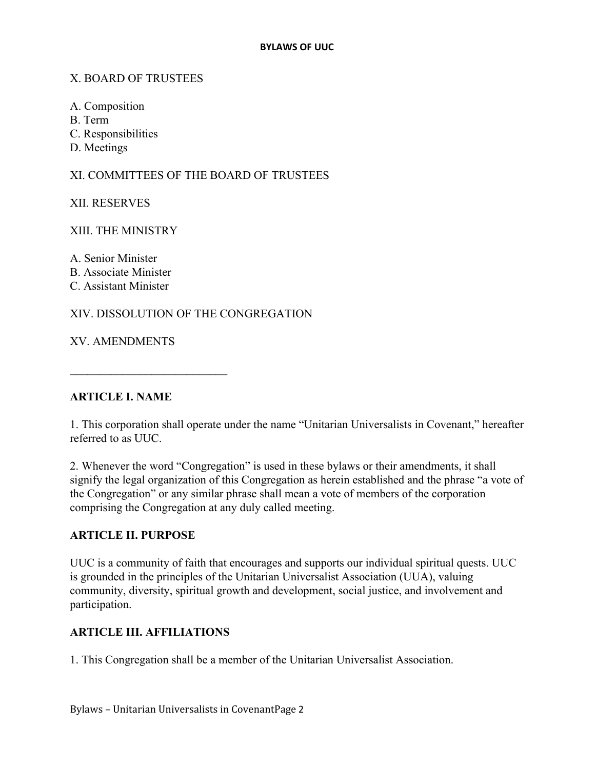#### X. BOARD OF TRUSTEES

- A. Composition
- B. Term
- C. Responsibilities
- D. Meetings

#### XI. COMMITTEES OF THE BOARD OF TRUSTEES

XII. RESERVES

#### XIII. THE MINISTRY

A. Senior Minister

- B. Associate Minister
- C. Assistant Minister

### XIV. DISSOLUTION OF THE CONGREGATION

XV. AMENDMENTS

**\_\_\_\_\_\_\_\_\_\_\_\_\_\_\_\_\_\_\_\_\_\_\_\_\_\_\_**

### **ARTICLE I. NAME**

1. This corporation shall operate under the name "Unitarian Universalists in Covenant," hereafter referred to as UUC.

2. Whenever the word "Congregation" is used in these bylaws or their amendments, it shall signify the legal organization of this Congregation as herein established and the phrase "a vote of the Congregation" or any similar phrase shall mean a vote of members of the corporation comprising the Congregation at any duly called meeting.

#### **ARTICLE II. PURPOSE**

UUC is a community of faith that encourages and supports our individual spiritual quests. UUC is grounded in the principles of the Unitarian Universalist Association (UUA), valuing community, diversity, spiritual growth and development, social justice, and involvement and participation.

### **ARTICLE III. AFFILIATIONS**

1. This Congregation shall be a member of the Unitarian Universalist Association.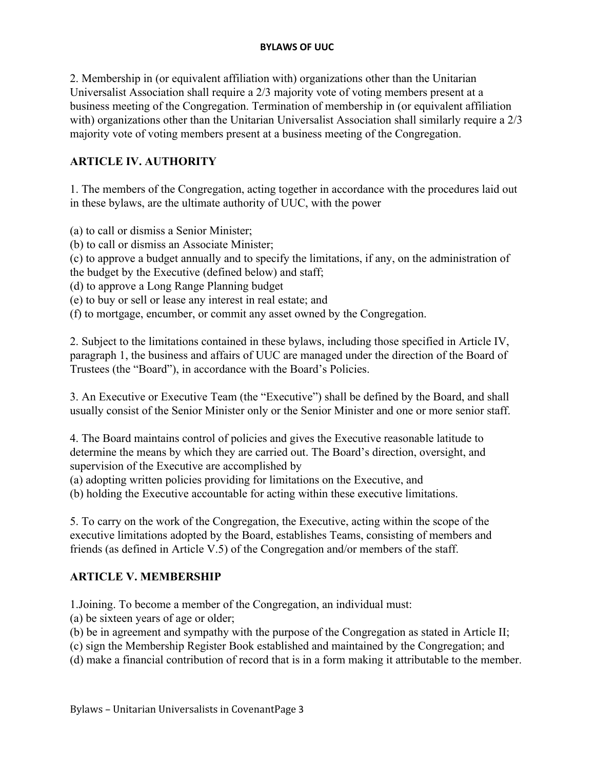2. Membership in (or equivalent affiliation with) organizations other than the Unitarian Universalist Association shall require a 2/3 majority vote of voting members present at a business meeting of the Congregation. Termination of membership in (or equivalent affiliation with) organizations other than the Unitarian Universalist Association shall similarly require a 2/3 majority vote of voting members present at a business meeting of the Congregation.

## **ARTICLE IV. AUTHORITY**

1. The members of the Congregation, acting together in accordance with the procedures laid out in these bylaws, are the ultimate authority of UUC, with the power

(a) to call or dismiss a Senior Minister;

(b) to call or dismiss an Associate Minister;

(c) to approve a budget annually and to specify the limitations, if any, on the administration of the budget by the Executive (defined below) and staff;

(d) to approve a Long Range Planning budget

(e) to buy or sell or lease any interest in real estate; and

(f) to mortgage, encumber, or commit any asset owned by the Congregation.

2. Subject to the limitations contained in these bylaws, including those specified in Article IV, paragraph 1, the business and affairs of UUC are managed under the direction of the Board of Trustees (the "Board"), in accordance with the Board's Policies.

3. An Executive or Executive Team (the "Executive") shall be defined by the Board, and shall usually consist of the Senior Minister only or the Senior Minister and one or more senior staff.

4. The Board maintains control of policies and gives the Executive reasonable latitude to determine the means by which they are carried out. The Board's direction, oversight, and supervision of the Executive are accomplished by

(a) adopting written policies providing for limitations on the Executive, and

(b) holding the Executive accountable for acting within these executive limitations.

5. To carry on the work of the Congregation, the Executive, acting within the scope of the executive limitations adopted by the Board, establishes Teams, consisting of members and friends (as defined in Article V.5) of the Congregation and/or members of the staff.

### **ARTICLE V. MEMBERSHIP**

1.Joining. To become a member of the Congregation, an individual must:

(a) be sixteen years of age or older;

(b) be in agreement and sympathy with the purpose of the Congregation as stated in Article II;

(c) sign the Membership Register Book established and maintained by the Congregation; and

(d) make a financial contribution of record that is in a form making it attributable to the member.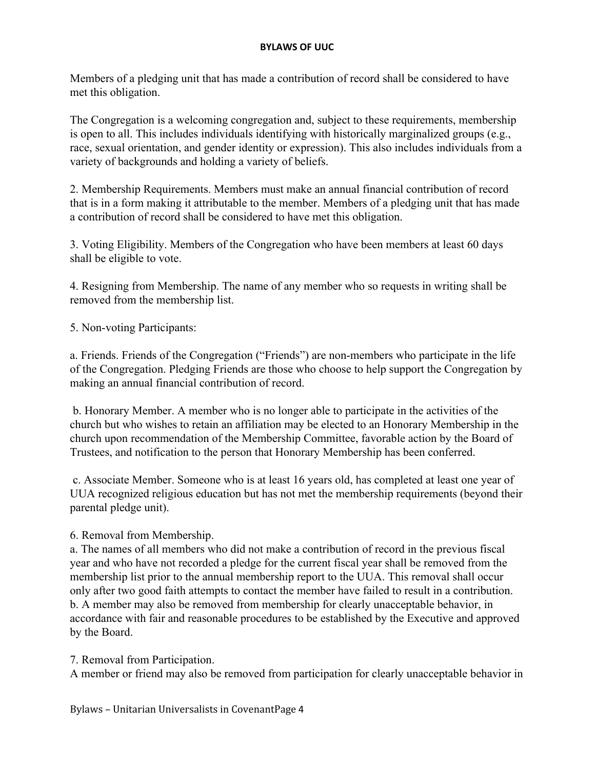Members of a pledging unit that has made a contribution of record shall be considered to have met this obligation.

The Congregation is a welcoming congregation and, subject to these requirements, membership is open to all. This includes individuals identifying with historically marginalized groups (e.g., race, sexual orientation, and gender identity or expression). This also includes individuals from a variety of backgrounds and holding a variety of beliefs.

2. Membership Requirements. Members must make an annual financial contribution of record that is in a form making it attributable to the member. Members of a pledging unit that has made a contribution of record shall be considered to have met this obligation.

3. Voting Eligibility. Members of the Congregation who have been members at least 60 days shall be eligible to vote.

4. Resigning from Membership. The name of any member who so requests in writing shall be removed from the membership list.

5. Non-voting Participants:

a. Friends. Friends of the Congregation ("Friends") are non-members who participate in the life of the Congregation. Pledging Friends are those who choose to help support the Congregation by making an annual financial contribution of record.

 b. Honorary Member. A member who is no longer able to participate in the activities of the church but who wishes to retain an affiliation may be elected to an Honorary Membership in the church upon recommendation of the Membership Committee, favorable action by the Board of Trustees, and notification to the person that Honorary Membership has been conferred.

 c. Associate Member. Someone who is at least 16 years old, has completed at least one year of UUA recognized religious education but has not met the membership requirements (beyond their parental pledge unit).

6. Removal from Membership.

a. The names of all members who did not make a contribution of record in the previous fiscal year and who have not recorded a pledge for the current fiscal year shall be removed from the membership list prior to the annual membership report to the UUA. This removal shall occur only after two good faith attempts to contact the member have failed to result in a contribution. b. A member may also be removed from membership for clearly unacceptable behavior, in accordance with fair and reasonable procedures to be established by the Executive and approved by the Board.

7. Removal from Participation.

A member or friend may also be removed from participation for clearly unacceptable behavior in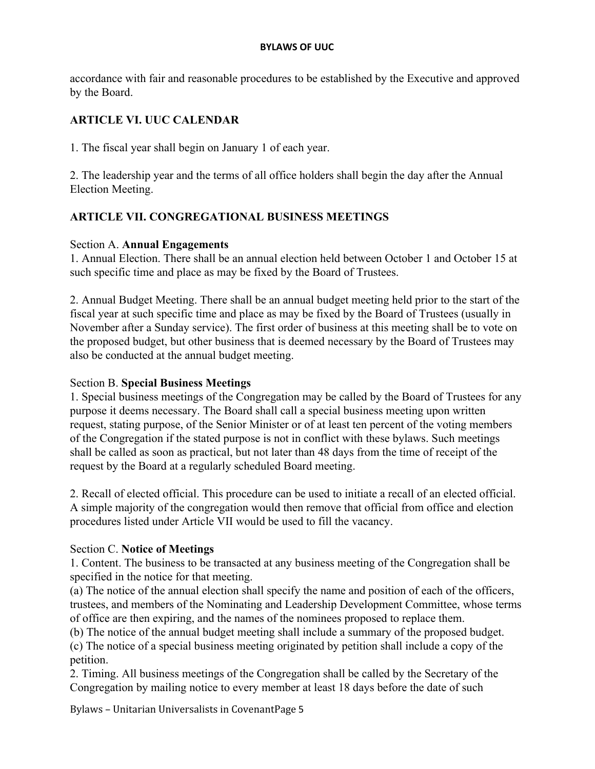accordance with fair and reasonable procedures to be established by the Executive and approved by the Board.

### **ARTICLE VI. UUC CALENDAR**

1. The fiscal year shall begin on January 1 of each year.

2. The leadership year and the terms of all office holders shall begin the day after the Annual Election Meeting.

### **ARTICLE VII. CONGREGATIONAL BUSINESS MEETINGS**

#### Section A. **Annual Engagements**

1. Annual Election. There shall be an annual election held between October 1 and October 15 at such specific time and place as may be fixed by the Board of Trustees.

2. Annual Budget Meeting. There shall be an annual budget meeting held prior to the start of the fiscal year at such specific time and place as may be fixed by the Board of Trustees (usually in November after a Sunday service). The first order of business at this meeting shall be to vote on the proposed budget, but other business that is deemed necessary by the Board of Trustees may also be conducted at the annual budget meeting.

#### Section B. **Special Business Meetings**

1. Special business meetings of the Congregation may be called by the Board of Trustees for any purpose it deems necessary. The Board shall call a special business meeting upon written request, stating purpose, of the Senior Minister or of at least ten percent of the voting members of the Congregation if the stated purpose is not in conflict with these bylaws. Such meetings shall be called as soon as practical, but not later than 48 days from the time of receipt of the request by the Board at a regularly scheduled Board meeting.

2. Recall of elected official. This procedure can be used to initiate a recall of an elected official. A simple majority of the congregation would then remove that official from office and election procedures listed under Article VII would be used to fill the vacancy.

#### Section C. **Notice of Meetings**

1. Content. The business to be transacted at any business meeting of the Congregation shall be specified in the notice for that meeting.

(a) The notice of the annual election shall specify the name and position of each of the officers, trustees, and members of the Nominating and Leadership Development Committee, whose terms of office are then expiring, and the names of the nominees proposed to replace them.

(b) The notice of the annual budget meeting shall include a summary of the proposed budget. (c) The notice of a special business meeting originated by petition shall include a copy of the petition.

2. Timing. All business meetings of the Congregation shall be called by the Secretary of the Congregation by mailing notice to every member at least 18 days before the date of such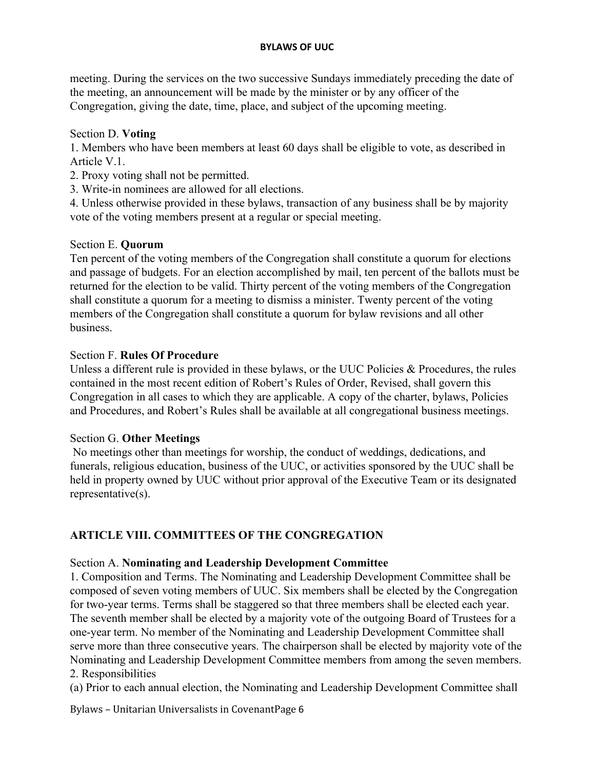meeting. During the services on the two successive Sundays immediately preceding the date of the meeting, an announcement will be made by the minister or by any officer of the Congregation, giving the date, time, place, and subject of the upcoming meeting.

### Section D. **Voting**

1. Members who have been members at least 60 days shall be eligible to vote, as described in Article V.1.

- 2. Proxy voting shall not be permitted.
- 3. Write-in nominees are allowed for all elections.

4. Unless otherwise provided in these bylaws, transaction of any business shall be by majority vote of the voting members present at a regular or special meeting.

### Section E. **Quorum**

Ten percent of the voting members of the Congregation shall constitute a quorum for elections and passage of budgets. For an election accomplished by mail, ten percent of the ballots must be returned for the election to be valid. Thirty percent of the voting members of the Congregation shall constitute a quorum for a meeting to dismiss a minister. Twenty percent of the voting members of the Congregation shall constitute a quorum for bylaw revisions and all other business.

## Section F. **Rules Of Procedure**

Unless a different rule is provided in these bylaws, or the UUC Policies & Procedures, the rules contained in the most recent edition of Robert's Rules of Order, Revised, shall govern this Congregation in all cases to which they are applicable. A copy of the charter, bylaws, Policies and Procedures, and Robert's Rules shall be available at all congregational business meetings.

## Section G. **Other Meetings**

 No meetings other than meetings for worship, the conduct of weddings, dedications, and funerals, religious education, business of the UUC, or activities sponsored by the UUC shall be held in property owned by UUC without prior approval of the Executive Team or its designated representative(s).

# **ARTICLE VIII. COMMITTEES OF THE CONGREGATION**

## Section A. **Nominating and Leadership Development Committee**

1. Composition and Terms. The Nominating and Leadership Development Committee shall be composed of seven voting members of UUC. Six members shall be elected by the Congregation for two-year terms. Terms shall be staggered so that three members shall be elected each year. The seventh member shall be elected by a majority vote of the outgoing Board of Trustees for a one-year term. No member of the Nominating and Leadership Development Committee shall serve more than three consecutive years. The chairperson shall be elected by majority vote of the Nominating and Leadership Development Committee members from among the seven members. 2. Responsibilities

(a) Prior to each annual election, the Nominating and Leadership Development Committee shall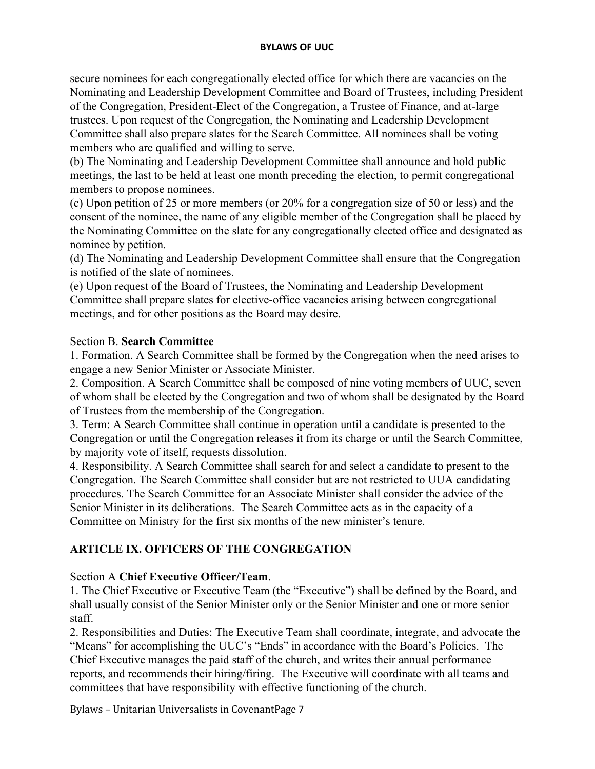secure nominees for each congregationally elected office for which there are vacancies on the Nominating and Leadership Development Committee and Board of Trustees, including President of the Congregation, President-Elect of the Congregation, a Trustee of Finance, and at-large trustees. Upon request of the Congregation, the Nominating and Leadership Development Committee shall also prepare slates for the Search Committee. All nominees shall be voting members who are qualified and willing to serve.

(b) The Nominating and Leadership Development Committee shall announce and hold public meetings, the last to be held at least one month preceding the election, to permit congregational members to propose nominees.

(c) Upon petition of 25 or more members (or 20% for a congregation size of 50 or less) and the consent of the nominee, the name of any eligible member of the Congregation shall be placed by the Nominating Committee on the slate for any congregationally elected office and designated as nominee by petition.

(d) The Nominating and Leadership Development Committee shall ensure that the Congregation is notified of the slate of nominees.

(e) Upon request of the Board of Trustees, the Nominating and Leadership Development Committee shall prepare slates for elective-office vacancies arising between congregational meetings, and for other positions as the Board may desire.

#### Section B. **Search Committee**

1. Formation. A Search Committee shall be formed by the Congregation when the need arises to engage a new Senior Minister or Associate Minister.

2. Composition. A Search Committee shall be composed of nine voting members of UUC, seven of whom shall be elected by the Congregation and two of whom shall be designated by the Board of Trustees from the membership of the Congregation.

3. Term: A Search Committee shall continue in operation until a candidate is presented to the Congregation or until the Congregation releases it from its charge or until the Search Committee, by majority vote of itself, requests dissolution.

4. Responsibility. A Search Committee shall search for and select a candidate to present to the Congregation. The Search Committee shall consider but are not restricted to UUA candidating procedures. The Search Committee for an Associate Minister shall consider the advice of the Senior Minister in its deliberations. The Search Committee acts as in the capacity of a Committee on Ministry for the first six months of the new minister's tenure.

## **ARTICLE IX. OFFICERS OF THE CONGREGATION**

### Section A **Chief Executive Officer/Team**.

1. The Chief Executive or Executive Team (the "Executive") shall be defined by the Board, and shall usually consist of the Senior Minister only or the Senior Minister and one or more senior staff.

2. Responsibilities and Duties: The Executive Team shall coordinate, integrate, and advocate the "Means" for accomplishing the UUC's "Ends" in accordance with the Board's Policies. The Chief Executive manages the paid staff of the church, and writes their annual performance reports, and recommends their hiring/firing. The Executive will coordinate with all teams and committees that have responsibility with effective functioning of the church.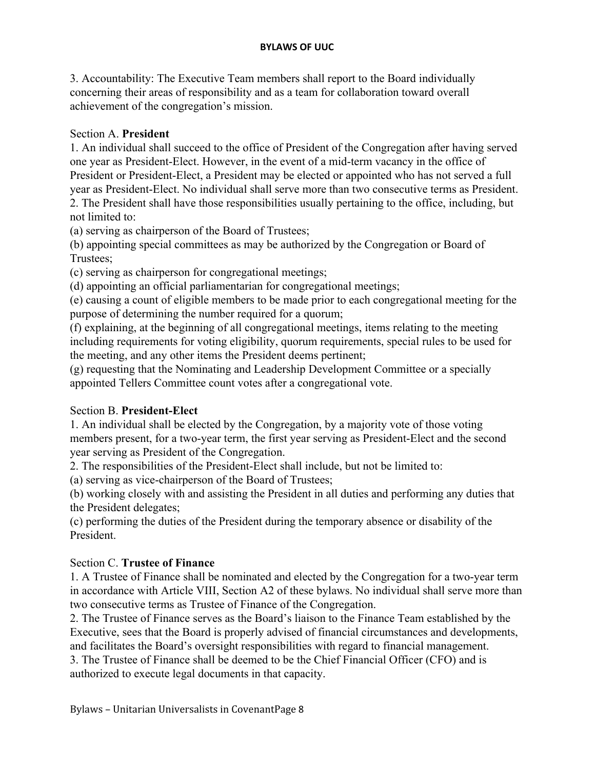3. Accountability: The Executive Team members shall report to the Board individually concerning their areas of responsibility and as a team for collaboration toward overall achievement of the congregation's mission.

### Section A. **President**

1. An individual shall succeed to the office of President of the Congregation after having served one year as President-Elect. However, in the event of a mid-term vacancy in the office of President or President-Elect, a President may be elected or appointed who has not served a full year as President-Elect. No individual shall serve more than two consecutive terms as President. 2. The President shall have those responsibilities usually pertaining to the office, including, but not limited to:

(a) serving as chairperson of the Board of Trustees;

(b) appointing special committees as may be authorized by the Congregation or Board of Trustees;

(c) serving as chairperson for congregational meetings;

(d) appointing an official parliamentarian for congregational meetings;

(e) causing a count of eligible members to be made prior to each congregational meeting for the purpose of determining the number required for a quorum;

(f) explaining, at the beginning of all congregational meetings, items relating to the meeting including requirements for voting eligibility, quorum requirements, special rules to be used for the meeting, and any other items the President deems pertinent;

(g) requesting that the Nominating and Leadership Development Committee or a specially appointed Tellers Committee count votes after a congregational vote.

## Section B. **President-Elect**

1. An individual shall be elected by the Congregation, by a majority vote of those voting members present, for a two-year term, the first year serving as President-Elect and the second year serving as President of the Congregation.

2. The responsibilities of the President-Elect shall include, but not be limited to:

(a) serving as vice-chairperson of the Board of Trustees;

(b) working closely with and assisting the President in all duties and performing any duties that the President delegates;

(c) performing the duties of the President during the temporary absence or disability of the President.

## Section C. **Trustee of Finance**

1. A Trustee of Finance shall be nominated and elected by the Congregation for a two-year term in accordance with Article VIII, Section A2 of these bylaws. No individual shall serve more than two consecutive terms as Trustee of Finance of the Congregation.

2. The Trustee of Finance serves as the Board's liaison to the Finance Team established by the Executive, sees that the Board is properly advised of financial circumstances and developments, and facilitates the Board's oversight responsibilities with regard to financial management. 3. The Trustee of Finance shall be deemed to be the Chief Financial Officer (CFO) and is authorized to execute legal documents in that capacity.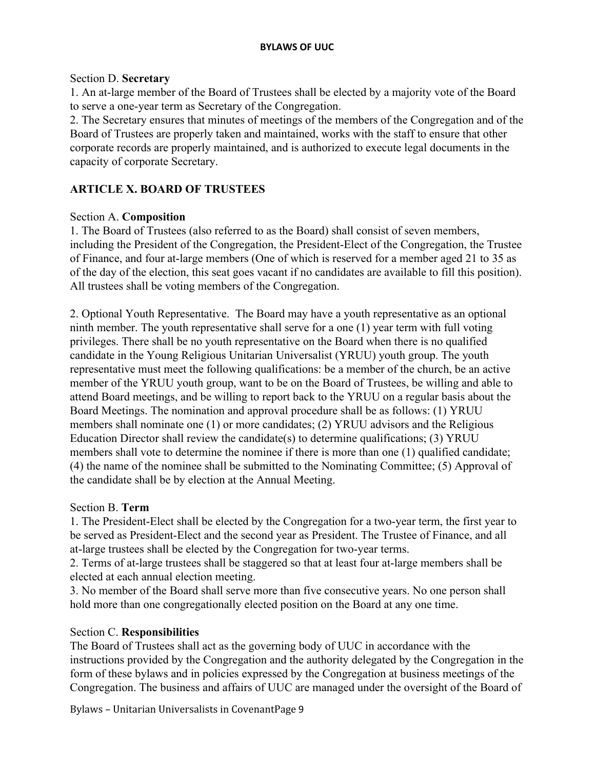#### Section D. **Secretary**

1. An at-large member of the Board of Trustees shall be elected by a majority vote of the Board to serve a one-year term as Secretary of the Congregation.

2. The Secretary ensures that minutes of meetings of the members of the Congregation and of the Board of Trustees are properly taken and maintained, works with the staff to ensure that other corporate records are properly maintained, and is authorized to execute legal documents in the capacity of corporate Secretary.

## **ARTICLE X. BOARD OF TRUSTEES**

### Section A. **Composition**

1. The Board of Trustees (also referred to as the Board) shall consist of seven members, including the President of the Congregation, the President-Elect of the Congregation, the Trustee of Finance, and four at-large members (One of which is reserved for a member aged 21 to 35 as of the day of the election, this seat goes vacant if no candidates are available to fill this position). All trustees shall be voting members of the Congregation.

2. Optional Youth Representative. The Board may have a youth representative as an optional ninth member. The youth representative shall serve for a one (1) year term with full voting privileges. There shall be no youth representative on the Board when there is no qualified candidate in the Young Religious Unitarian Universalist (YRUU) youth group. The youth representative must meet the following qualifications: be a member of the church, be an active member of the YRUU youth group, want to be on the Board of Trustees, be willing and able to attend Board meetings, and be willing to report back to the YRUU on a regular basis about the Board Meetings. The nomination and approval procedure shall be as follows: (1) YRUU members shall nominate one (1) or more candidates; (2) YRUU advisors and the Religious Education Director shall review the candidate(s) to determine qualifications; (3) YRUU members shall vote to determine the nominee if there is more than one (1) qualified candidate; (4) the name of the nominee shall be submitted to the Nominating Committee; (5) Approval of the candidate shall be by election at the Annual Meeting.

### Section B. **Term**

1. The President-Elect shall be elected by the Congregation for a two-year term, the first year to be served as President-Elect and the second year as President. The Trustee of Finance, and all at-large trustees shall be elected by the Congregation for two-year terms.

2. Terms of at-large trustees shall be staggered so that at least four at-large members shall be elected at each annual election meeting.

3. No member of the Board shall serve more than five consecutive years. No one person shall hold more than one congregationally elected position on the Board at any one time.

### Section C. **Responsibilities**

The Board of Trustees shall act as the governing body of UUC in accordance with the instructions provided by the Congregation and the authority delegated by the Congregation in the form of these bylaws and in policies expressed by the Congregation at business meetings of the Congregation. The business and affairs of UUC are managed under the oversight of the Board of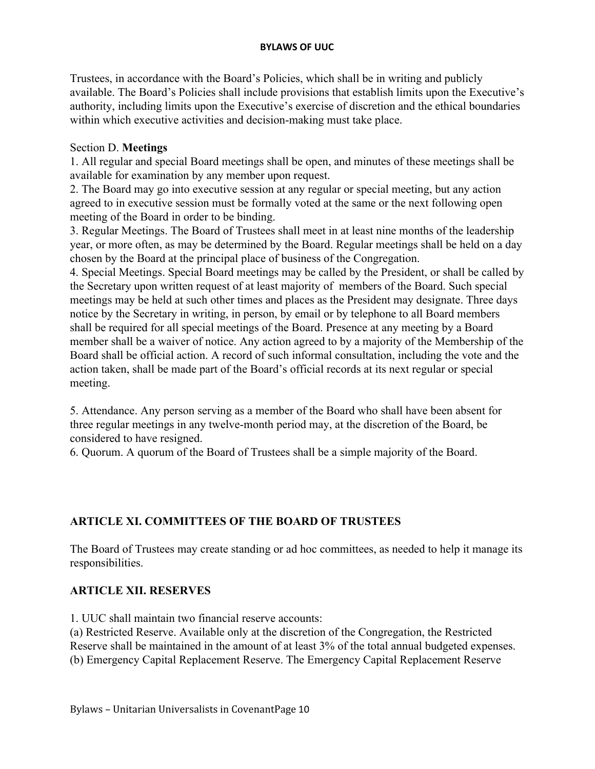Trustees, in accordance with the Board's Policies, which shall be in writing and publicly available. The Board's Policies shall include provisions that establish limits upon the Executive's authority, including limits upon the Executive's exercise of discretion and the ethical boundaries within which executive activities and decision-making must take place.

#### Section D. **Meetings**

1. All regular and special Board meetings shall be open, and minutes of these meetings shall be available for examination by any member upon request.

2. The Board may go into executive session at any regular or special meeting, but any action agreed to in executive session must be formally voted at the same or the next following open meeting of the Board in order to be binding.

3. Regular Meetings. The Board of Trustees shall meet in at least nine months of the leadership year, or more often, as may be determined by the Board. Regular meetings shall be held on a day chosen by the Board at the principal place of business of the Congregation.

4. Special Meetings. Special Board meetings may be called by the President, or shall be called by the Secretary upon written request of at least majority of members of the Board. Such special meetings may be held at such other times and places as the President may designate. Three days notice by the Secretary in writing, in person, by email or by telephone to all Board members shall be required for all special meetings of the Board. Presence at any meeting by a Board member shall be a waiver of notice. Any action agreed to by a majority of the Membership of the Board shall be official action. A record of such informal consultation, including the vote and the action taken, shall be made part of the Board's official records at its next regular or special meeting.

5. Attendance. Any person serving as a member of the Board who shall have been absent for three regular meetings in any twelve-month period may, at the discretion of the Board, be considered to have resigned.

6. Quorum. A quorum of the Board of Trustees shall be a simple majority of the Board.

## **ARTICLE XI. COMMITTEES OF THE BOARD OF TRUSTEES**

The Board of Trustees may create standing or ad hoc committees, as needed to help it manage its responsibilities.

### **ARTICLE XII. RESERVES**

1. UUC shall maintain two financial reserve accounts:

(a) Restricted Reserve. Available only at the discretion of the Congregation, the Restricted Reserve shall be maintained in the amount of at least 3% of the total annual budgeted expenses. (b) Emergency Capital Replacement Reserve. The Emergency Capital Replacement Reserve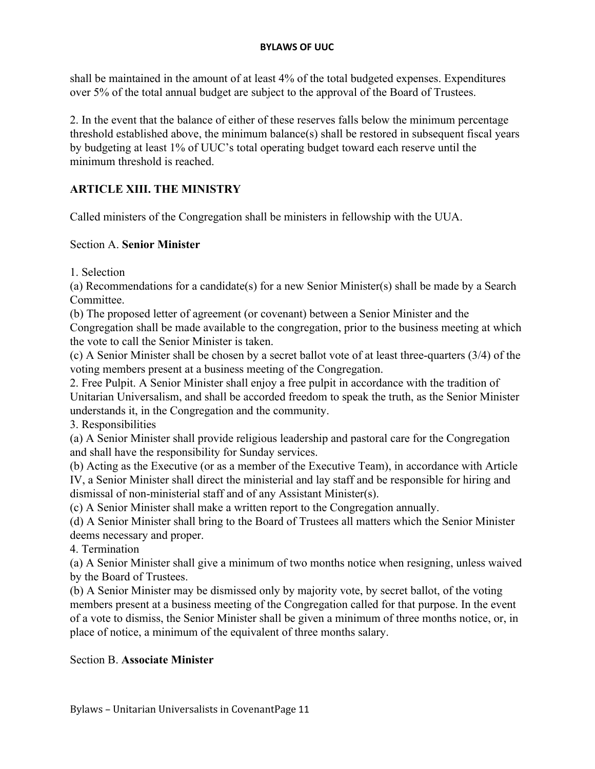shall be maintained in the amount of at least 4% of the total budgeted expenses. Expenditures over 5% of the total annual budget are subject to the approval of the Board of Trustees.

2. In the event that the balance of either of these reserves falls below the minimum percentage threshold established above, the minimum balance(s) shall be restored in subsequent fiscal years by budgeting at least 1% of UUC's total operating budget toward each reserve until the minimum threshold is reached.

# **ARTICLE XIII. THE MINISTRY**

Called ministers of the Congregation shall be ministers in fellowship with the UUA.

#### Section A. **Senior Minister**

1. Selection

(a) Recommendations for a candidate(s) for a new Senior Minister(s) shall be made by a Search Committee.

(b) The proposed letter of agreement (or covenant) between a Senior Minister and the Congregation shall be made available to the congregation, prior to the business meeting at which the vote to call the Senior Minister is taken.

(c) A Senior Minister shall be chosen by a secret ballot vote of at least three-quarters (3/4) of the voting members present at a business meeting of the Congregation.

2. Free Pulpit. A Senior Minister shall enjoy a free pulpit in accordance with the tradition of Unitarian Universalism, and shall be accorded freedom to speak the truth, as the Senior Minister understands it, in the Congregation and the community.

3. Responsibilities

(a) A Senior Minister shall provide religious leadership and pastoral care for the Congregation and shall have the responsibility for Sunday services.

(b) Acting as the Executive (or as a member of the Executive Team), in accordance with Article IV, a Senior Minister shall direct the ministerial and lay staff and be responsible for hiring and dismissal of non-ministerial staff and of any Assistant Minister(s).

(c) A Senior Minister shall make a written report to the Congregation annually.

(d) A Senior Minister shall bring to the Board of Trustees all matters which the Senior Minister deems necessary and proper.

4. Termination

(a) A Senior Minister shall give a minimum of two months notice when resigning, unless waived by the Board of Trustees.

(b) A Senior Minister may be dismissed only by majority vote, by secret ballot, of the voting members present at a business meeting of the Congregation called for that purpose. In the event of a vote to dismiss, the Senior Minister shall be given a minimum of three months notice, or, in place of notice, a minimum of the equivalent of three months salary.

#### Section B. **Associate Minister**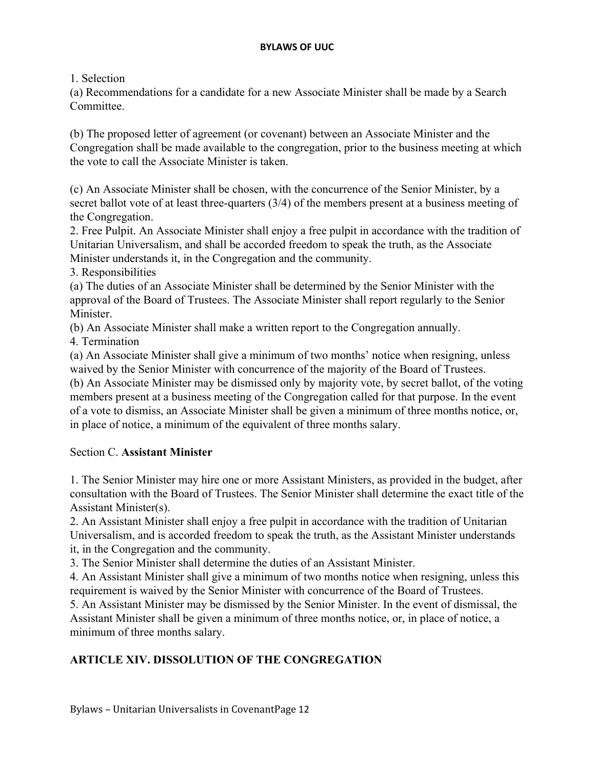1. Selection

(a) Recommendations for a candidate for a new Associate Minister shall be made by a Search **Committee** 

(b) The proposed letter of agreement (or covenant) between an Associate Minister and the Congregation shall be made available to the congregation, prior to the business meeting at which the vote to call the Associate Minister is taken.

(c) An Associate Minister shall be chosen, with the concurrence of the Senior Minister, by a secret ballot vote of at least three-quarters (3/4) of the members present at a business meeting of the Congregation.

2. Free Pulpit. An Associate Minister shall enjoy a free pulpit in accordance with the tradition of Unitarian Universalism, and shall be accorded freedom to speak the truth, as the Associate Minister understands it, in the Congregation and the community.

3. Responsibilities

(a) The duties of an Associate Minister shall be determined by the Senior Minister with the approval of the Board of Trustees. The Associate Minister shall report regularly to the Senior Minister.

(b) An Associate Minister shall make a written report to the Congregation annually.

4. Termination

(a) An Associate Minister shall give a minimum of two months' notice when resigning, unless waived by the Senior Minister with concurrence of the majority of the Board of Trustees. (b) An Associate Minister may be dismissed only by majority vote, by secret ballot, of the voting

members present at a business meeting of the Congregation called for that purpose. In the event of a vote to dismiss, an Associate Minister shall be given a minimum of three months notice, or, in place of notice, a minimum of the equivalent of three months salary.

### Section C. **Assistant Minister**

1. The Senior Minister may hire one or more Assistant Ministers, as provided in the budget, after consultation with the Board of Trustees. The Senior Minister shall determine the exact title of the Assistant Minister(s).

2. An Assistant Minister shall enjoy a free pulpit in accordance with the tradition of Unitarian Universalism, and is accorded freedom to speak the truth, as the Assistant Minister understands it, in the Congregation and the community.

3. The Senior Minister shall determine the duties of an Assistant Minister.

4. An Assistant Minister shall give a minimum of two months notice when resigning, unless this requirement is waived by the Senior Minister with concurrence of the Board of Trustees.

5. An Assistant Minister may be dismissed by the Senior Minister. In the event of dismissal, the Assistant Minister shall be given a minimum of three months notice, or, in place of notice, a minimum of three months salary.

## **ARTICLE XIV. DISSOLUTION OF THE CONGREGATION**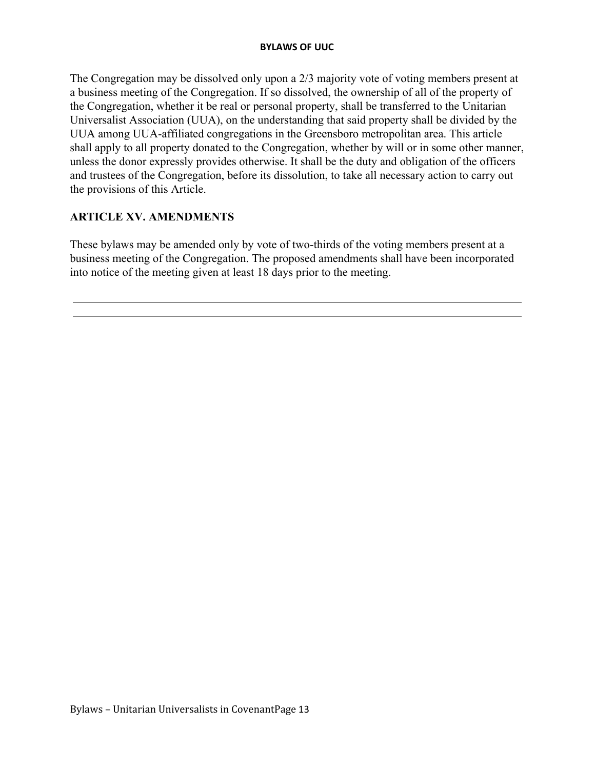The Congregation may be dissolved only upon a 2/3 majority vote of voting members present at a business meeting of the Congregation. If so dissolved, the ownership of all of the property of the Congregation, whether it be real or personal property, shall be transferred to the Unitarian Universalist Association (UUA), on the understanding that said property shall be divided by the UUA among UUA-affiliated congregations in the Greensboro metropolitan area. This article shall apply to all property donated to the Congregation, whether by will or in some other manner, unless the donor expressly provides otherwise. It shall be the duty and obligation of the officers and trustees of the Congregation, before its dissolution, to take all necessary action to carry out the provisions of this Article.

## **ARTICLE XV. AMENDMENTS**

These bylaws may be amended only by vote of two-thirds of the voting members present at a business meeting of the Congregation. The proposed amendments shall have been incorporated into notice of the meeting given at least 18 days prior to the meeting.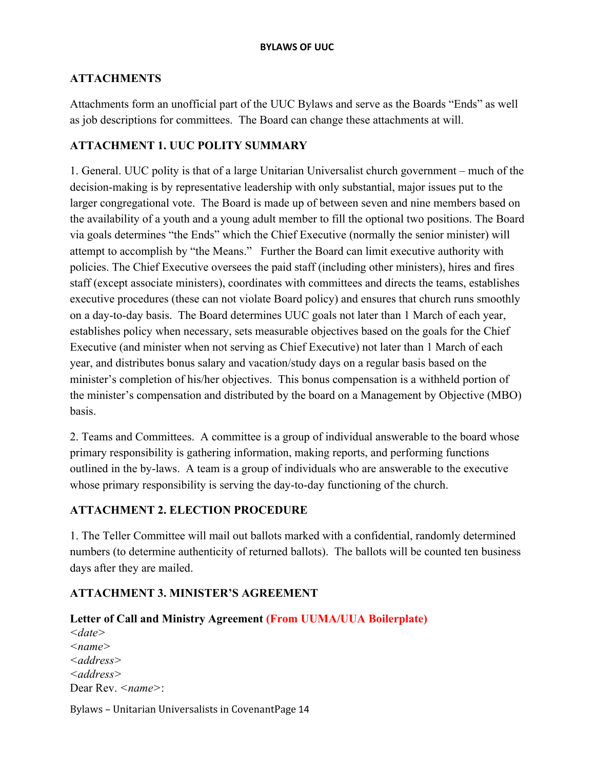## **ATTACHMENTS**

Attachments form an unofficial part of the UUC Bylaws and serve as the Boards "Ends" as well as job descriptions for committees. The Board can change these attachments at will.

## **ATTACHMENT 1. UUC POLITY SUMMARY**

1. General. UUC polity is that of a large Unitarian Universalist church government – much of the decision-making is by representative leadership with only substantial, major issues put to the larger congregational vote. The Board is made up of between seven and nine members based on the availability of a youth and a young adult member to fill the optional two positions. The Board via goals determines "the Ends" which the Chief Executive (normally the senior minister) will attempt to accomplish by "the Means." Further the Board can limit executive authority with policies. The Chief Executive oversees the paid staff (including other ministers), hires and fires staff (except associate ministers), coordinates with committees and directs the teams, establishes executive procedures (these can not violate Board policy) and ensures that church runs smoothly on a day-to-day basis. The Board determines UUC goals not later than 1 March of each year, establishes policy when necessary, sets measurable objectives based on the goals for the Chief Executive (and minister when not serving as Chief Executive) not later than 1 March of each year, and distributes bonus salary and vacation/study days on a regular basis based on the minister's completion of his/her objectives. This bonus compensation is a withheld portion of the minister's compensation and distributed by the board on a Management by Objective (MBO) basis.

2. Teams and Committees. A committee is a group of individual answerable to the board whose primary responsibility is gathering information, making reports, and performing functions outlined in the by-laws. A team is a group of individuals who are answerable to the executive whose primary responsibility is serving the day-to-day functioning of the church.

## **ATTACHMENT 2. ELECTION PROCEDURE**

1. The Teller Committee will mail out ballots marked with a confidential, randomly determined numbers (to determine authenticity of returned ballots). The ballots will be counted ten business days after they are mailed.

## **ATTACHMENT 3. MINISTER'S AGREEMENT**

### **Letter of Call and Ministry Agreement (From UUMA/UUA Boilerplate)**

*<date> <name> <address> <address>* Dear Rev. *<name>*: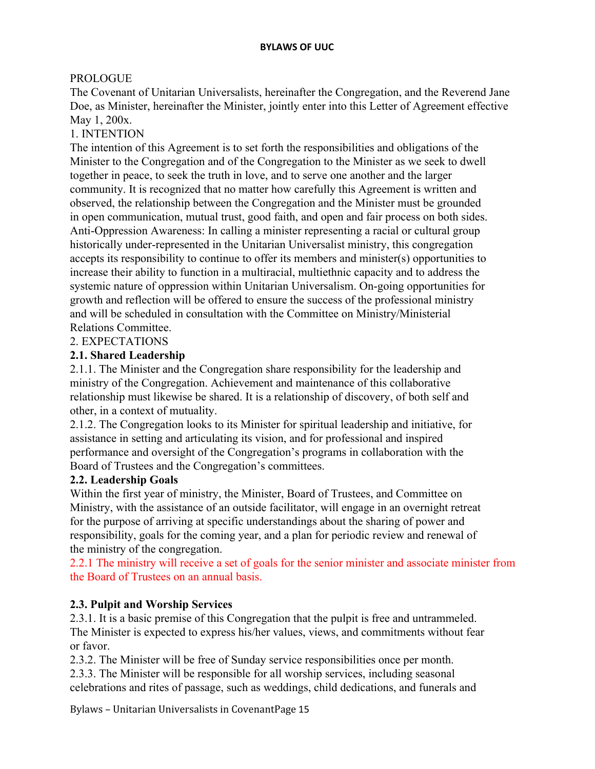## PROLOGUE

The Covenant of Unitarian Universalists, hereinafter the Congregation, and the Reverend Jane Doe, as Minister, hereinafter the Minister, jointly enter into this Letter of Agreement effective May 1, 200x.

## 1. INTENTION

The intention of this Agreement is to set forth the responsibilities and obligations of the Minister to the Congregation and of the Congregation to the Minister as we seek to dwell together in peace, to seek the truth in love, and to serve one another and the larger community. It is recognized that no matter how carefully this Agreement is written and observed, the relationship between the Congregation and the Minister must be grounded in open communication, mutual trust, good faith, and open and fair process on both sides. Anti-Oppression Awareness: In calling a minister representing a racial or cultural group historically under-represented in the Unitarian Universalist ministry, this congregation accepts its responsibility to continue to offer its members and minister(s) opportunities to increase their ability to function in a multiracial, multiethnic capacity and to address the systemic nature of oppression within Unitarian Universalism. On-going opportunities for growth and reflection will be offered to ensure the success of the professional ministry and will be scheduled in consultation with the Committee on Ministry/Ministerial Relations Committee.

### 2. EXPECTATIONS

### **2.1. Shared Leadership**

2.1.1. The Minister and the Congregation share responsibility for the leadership and ministry of the Congregation. Achievement and maintenance of this collaborative relationship must likewise be shared. It is a relationship of discovery, of both self and other, in a context of mutuality.

2.1.2. The Congregation looks to its Minister for spiritual leadership and initiative, for assistance in setting and articulating its vision, and for professional and inspired performance and oversight of the Congregation's programs in collaboration with the Board of Trustees and the Congregation's committees.

### **2.2. Leadership Goals**

Within the first year of ministry, the Minister, Board of Trustees, and Committee on Ministry, with the assistance of an outside facilitator, will engage in an overnight retreat for the purpose of arriving at specific understandings about the sharing of power and responsibility, goals for the coming year, and a plan for periodic review and renewal of the ministry of the congregation.

2.2.1 The ministry will receive a set of goals for the senior minister and associate minister from the Board of Trustees on an annual basis.

### **2.3. Pulpit and Worship Services**

2.3.1. It is a basic premise of this Congregation that the pulpit is free and untrammeled. The Minister is expected to express his/her values, views, and commitments without fear or favor.

2.3.2. The Minister will be free of Sunday service responsibilities once per month.

2.3.3. The Minister will be responsible for all worship services, including seasonal celebrations and rites of passage, such as weddings, child dedications, and funerals and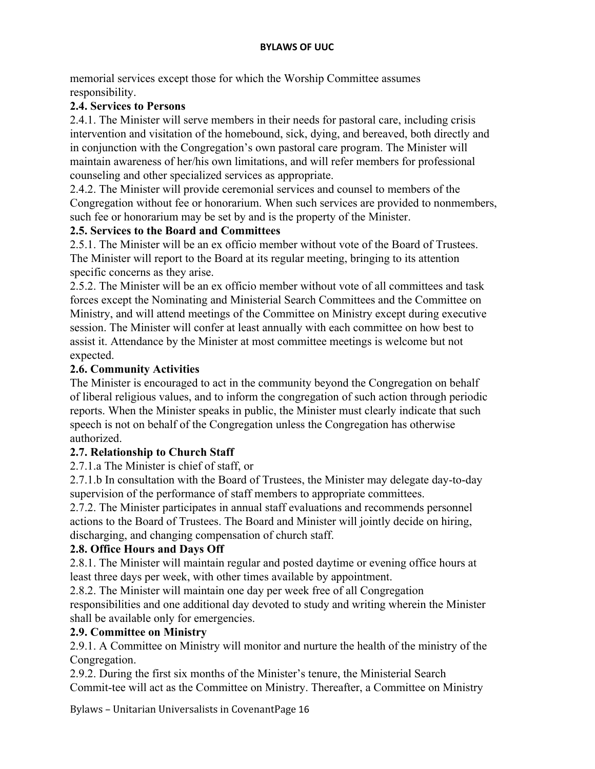memorial services except those for which the Worship Committee assumes responsibility.

### **2.4. Services to Persons**

2.4.1. The Minister will serve members in their needs for pastoral care, including crisis intervention and visitation of the homebound, sick, dying, and bereaved, both directly and in conjunction with the Congregation's own pastoral care program. The Minister will maintain awareness of her/his own limitations, and will refer members for professional counseling and other specialized services as appropriate.

2.4.2. The Minister will provide ceremonial services and counsel to members of the Congregation without fee or honorarium. When such services are provided to nonmembers, such fee or honorarium may be set by and is the property of the Minister.

## **2.5. Services to the Board and Committees**

2.5.1. The Minister will be an ex officio member without vote of the Board of Trustees. The Minister will report to the Board at its regular meeting, bringing to its attention specific concerns as they arise.

2.5.2. The Minister will be an ex officio member without vote of all committees and task forces except the Nominating and Ministerial Search Committees and the Committee on Ministry, and will attend meetings of the Committee on Ministry except during executive session. The Minister will confer at least annually with each committee on how best to assist it. Attendance by the Minister at most committee meetings is welcome but not expected.

## **2.6. Community Activities**

The Minister is encouraged to act in the community beyond the Congregation on behalf of liberal religious values, and to inform the congregation of such action through periodic reports. When the Minister speaks in public, the Minister must clearly indicate that such speech is not on behalf of the Congregation unless the Congregation has otherwise authorized.

## **2.7. Relationship to Church Staff**

2.7.1.a The Minister is chief of staff, or

2.7.1.b In consultation with the Board of Trustees, the Minister may delegate day-to-day supervision of the performance of staff members to appropriate committees.

2.7.2. The Minister participates in annual staff evaluations and recommends personnel actions to the Board of Trustees. The Board and Minister will jointly decide on hiring, discharging, and changing compensation of church staff.

## **2.8. Office Hours and Days Off**

2.8.1. The Minister will maintain regular and posted daytime or evening office hours at least three days per week, with other times available by appointment.

2.8.2. The Minister will maintain one day per week free of all Congregation responsibilities and one additional day devoted to study and writing wherein the Minister shall be available only for emergencies.

### **2.9. Committee on Ministry**

2.9.1. A Committee on Ministry will monitor and nurture the health of the ministry of the Congregation.

2.9.2. During the first six months of the Minister's tenure, the Ministerial Search Commit-tee will act as the Committee on Ministry. Thereafter, a Committee on Ministry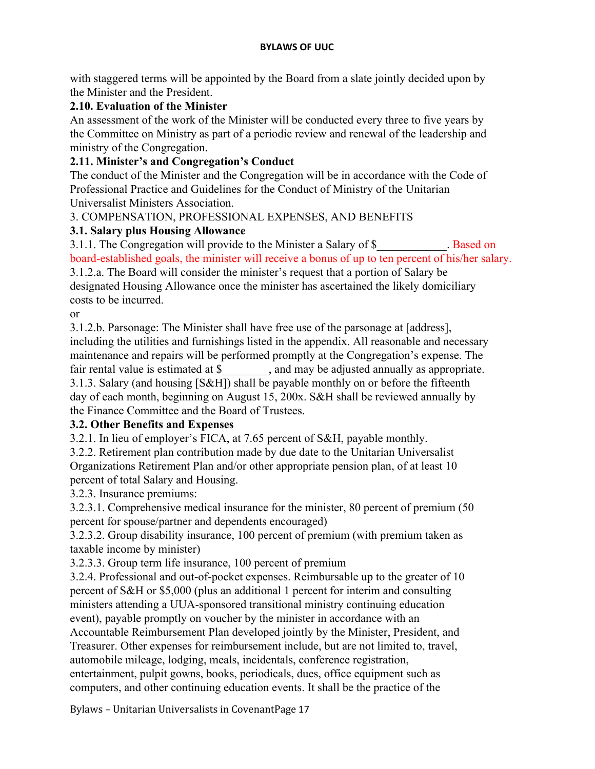with staggered terms will be appointed by the Board from a slate jointly decided upon by the Minister and the President.

# **2.10. Evaluation of the Minister**

An assessment of the work of the Minister will be conducted every three to five years by the Committee on Ministry as part of a periodic review and renewal of the leadership and ministry of the Congregation.

# **2.11. Minister's and Congregation's Conduct**

The conduct of the Minister and the Congregation will be in accordance with the Code of Professional Practice and Guidelines for the Conduct of Ministry of the Unitarian Universalist Ministers Association.

3. COMPENSATION, PROFESSIONAL EXPENSES, AND BENEFITS

# **3.1. Salary plus Housing Allowance**

3.1.1. The Congregation will provide to the Minister a Salary of \$ . Based on board-established goals, the minister will receive a bonus of up to ten percent of his/her salary.

3.1.2.a. The Board will consider the minister's request that a portion of Salary be designated Housing Allowance once the minister has ascertained the likely domiciliary costs to be incurred.

or

3.1.2.b. Parsonage: The Minister shall have free use of the parsonage at [address], including the utilities and furnishings listed in the appendix. All reasonable and necessary maintenance and repairs will be performed promptly at the Congregation's expense. The fair rental value is estimated at \$  $\ldots$ , and may be adjusted annually as appropriate. 3.1.3. Salary (and housing [S&H]) shall be payable monthly on or before the fifteenth day of each month, beginning on August 15, 200x. S&H shall be reviewed annually by the Finance Committee and the Board of Trustees.

# **3.2. Other Benefits and Expenses**

3.2.1. In lieu of employer's FICA, at 7.65 percent of S&H, payable monthly.

3.2.2. Retirement plan contribution made by due date to the Unitarian Universalist Organizations Retirement Plan and/or other appropriate pension plan, of at least 10 percent of total Salary and Housing.

3.2.3. Insurance premiums:

3.2.3.1. Comprehensive medical insurance for the minister, 80 percent of premium (50 percent for spouse/partner and dependents encouraged)

3.2.3.2. Group disability insurance, 100 percent of premium (with premium taken as taxable income by minister)

3.2.3.3. Group term life insurance, 100 percent of premium

3.2.4. Professional and out-of-pocket expenses. Reimbursable up to the greater of 10 percent of S&H or \$5,000 (plus an additional 1 percent for interim and consulting ministers attending a UUA-sponsored transitional ministry continuing education event), payable promptly on voucher by the minister in accordance with an

Accountable Reimbursement Plan developed jointly by the Minister, President, and Treasurer. Other expenses for reimbursement include, but are not limited to, travel, automobile mileage, lodging, meals, incidentals, conference registration, entertainment, pulpit gowns, books, periodicals, dues, office equipment such as computers, and other continuing education events. It shall be the practice of the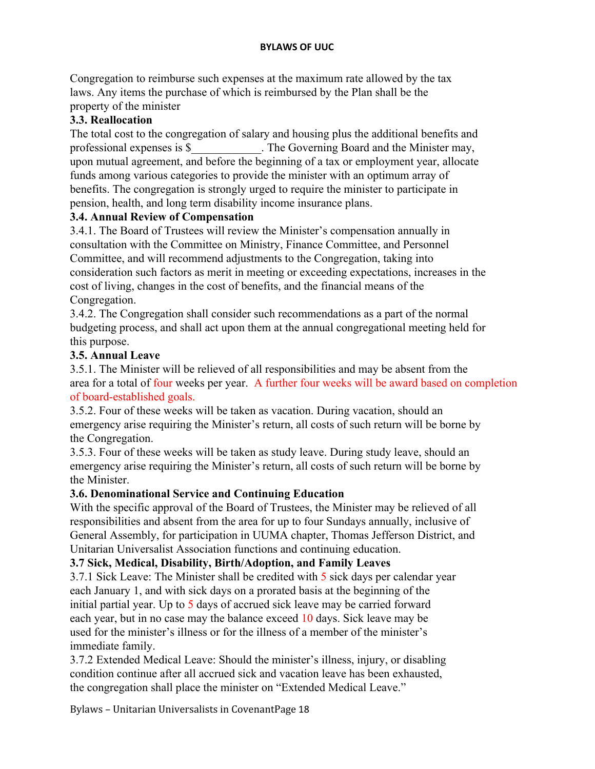Congregation to reimburse such expenses at the maximum rate allowed by the tax laws. Any items the purchase of which is reimbursed by the Plan shall be the property of the minister

## **3.3. Reallocation**

The total cost to the congregation of salary and housing plus the additional benefits and professional expenses is \$ The Governing Board and the Minister may, upon mutual agreement, and before the beginning of a tax or employment year, allocate funds among various categories to provide the minister with an optimum array of benefits. The congregation is strongly urged to require the minister to participate in pension, health, and long term disability income insurance plans.

### **3.4. Annual Review of Compensation**

3.4.1. The Board of Trustees will review the Minister's compensation annually in consultation with the Committee on Ministry, Finance Committee, and Personnel Committee, and will recommend adjustments to the Congregation, taking into consideration such factors as merit in meeting or exceeding expectations, increases in the cost of living, changes in the cost of benefits, and the financial means of the Congregation.

3.4.2. The Congregation shall consider such recommendations as a part of the normal budgeting process, and shall act upon them at the annual congregational meeting held for this purpose.

## **3.5. Annual Leave**

3.5.1. The Minister will be relieved of all responsibilities and may be absent from the area for a total of four weeks per year. A further four weeks will be award based on completion of board-established goals.

3.5.2. Four of these weeks will be taken as vacation. During vacation, should an emergency arise requiring the Minister's return, all costs of such return will be borne by the Congregation.

3.5.3. Four of these weeks will be taken as study leave. During study leave, should an emergency arise requiring the Minister's return, all costs of such return will be borne by the Minister.

### **3.6. Denominational Service and Continuing Education**

With the specific approval of the Board of Trustees, the Minister may be relieved of all responsibilities and absent from the area for up to four Sundays annually, inclusive of General Assembly, for participation in UUMA chapter, Thomas Jefferson District, and Unitarian Universalist Association functions and continuing education.

## **3.7 Sick, Medical, Disability, Birth/Adoption, and Family Leaves**

3.7.1 Sick Leave: The Minister shall be credited with 5 sick days per calendar year each January 1, and with sick days on a prorated basis at the beginning of the initial partial year. Up to 5 days of accrued sick leave may be carried forward each year, but in no case may the balance exceed 10 days. Sick leave may be used for the minister's illness or for the illness of a member of the minister's immediate family.

3.7.2 Extended Medical Leave: Should the minister's illness, injury, or disabling condition continue after all accrued sick and vacation leave has been exhausted, the congregation shall place the minister on "Extended Medical Leave."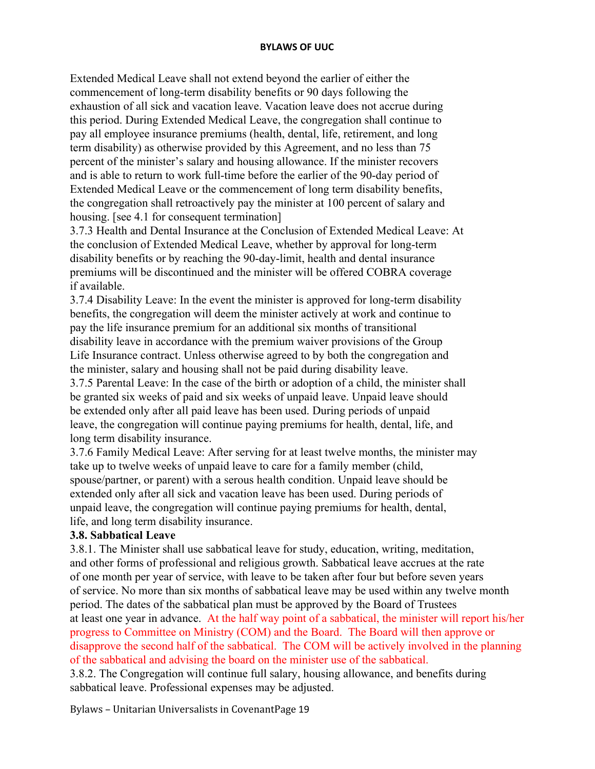Extended Medical Leave shall not extend beyond the earlier of either the commencement of long-term disability benefits or 90 days following the exhaustion of all sick and vacation leave. Vacation leave does not accrue during this period. During Extended Medical Leave, the congregation shall continue to pay all employee insurance premiums (health, dental, life, retirement, and long term disability) as otherwise provided by this Agreement, and no less than 75 percent of the minister's salary and housing allowance. If the minister recovers and is able to return to work full-time before the earlier of the 90-day period of Extended Medical Leave or the commencement of long term disability benefits, the congregation shall retroactively pay the minister at 100 percent of salary and housing. [see 4.1 for consequent termination]

3.7.3 Health and Dental Insurance at the Conclusion of Extended Medical Leave: At the conclusion of Extended Medical Leave, whether by approval for long-term disability benefits or by reaching the 90-day-limit, health and dental insurance premiums will be discontinued and the minister will be offered COBRA coverage if available.

3.7.4 Disability Leave: In the event the minister is approved for long-term disability benefits, the congregation will deem the minister actively at work and continue to pay the life insurance premium for an additional six months of transitional disability leave in accordance with the premium waiver provisions of the Group Life Insurance contract. Unless otherwise agreed to by both the congregation and the minister, salary and housing shall not be paid during disability leave.

3.7.5 Parental Leave: In the case of the birth or adoption of a child, the minister shall be granted six weeks of paid and six weeks of unpaid leave. Unpaid leave should be extended only after all paid leave has been used. During periods of unpaid leave, the congregation will continue paying premiums for health, dental, life, and long term disability insurance.

3.7.6 Family Medical Leave: After serving for at least twelve months, the minister may take up to twelve weeks of unpaid leave to care for a family member (child, spouse/partner, or parent) with a serous health condition. Unpaid leave should be extended only after all sick and vacation leave has been used. During periods of unpaid leave, the congregation will continue paying premiums for health, dental, life, and long term disability insurance.

### **3.8. Sabbatical Leave**

3.8.1. The Minister shall use sabbatical leave for study, education, writing, meditation, and other forms of professional and religious growth. Sabbatical leave accrues at the rate of one month per year of service, with leave to be taken after four but before seven years of service. No more than six months of sabbatical leave may be used within any twelve month period. The dates of the sabbatical plan must be approved by the Board of Trustees at least one year in advance. At the half way point of a sabbatical, the minister will report his/her progress to Committee on Ministry (COM) and the Board. The Board will then approve or disapprove the second half of the sabbatical. The COM will be actively involved in the planning of the sabbatical and advising the board on the minister use of the sabbatical.

3.8.2. The Congregation will continue full salary, housing allowance, and benefits during sabbatical leave. Professional expenses may be adjusted.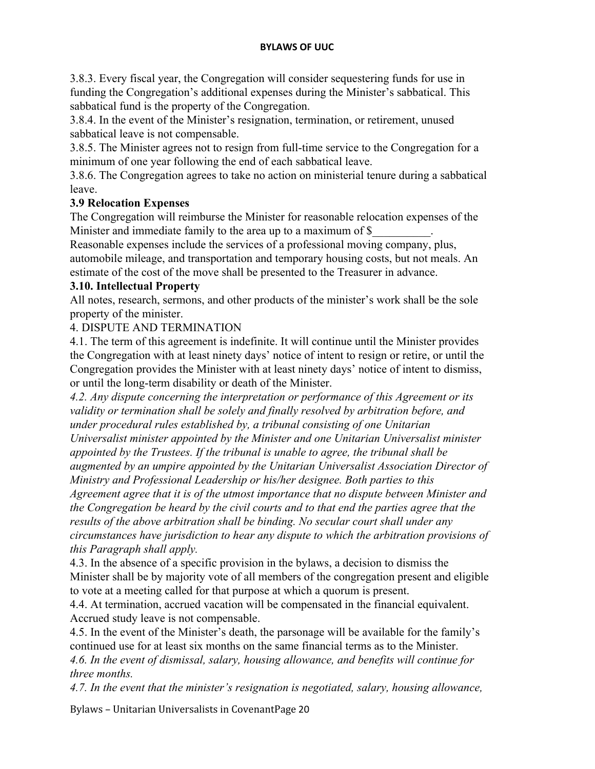3.8.3. Every fiscal year, the Congregation will consider sequestering funds for use in funding the Congregation's additional expenses during the Minister's sabbatical. This sabbatical fund is the property of the Congregation.

3.8.4. In the event of the Minister's resignation, termination, or retirement, unused sabbatical leave is not compensable.

3.8.5. The Minister agrees not to resign from full-time service to the Congregation for a minimum of one year following the end of each sabbatical leave.

3.8.6. The Congregation agrees to take no action on ministerial tenure during a sabbatical leave.

## **3.9 Relocation Expenses**

The Congregation will reimburse the Minister for reasonable relocation expenses of the Minister and immediate family to the area up to a maximum of \$

Reasonable expenses include the services of a professional moving company, plus, automobile mileage, and transportation and temporary housing costs, but not meals. An estimate of the cost of the move shall be presented to the Treasurer in advance.

### **3.10. Intellectual Property**

All notes, research, sermons, and other products of the minister's work shall be the sole property of the minister.

## 4. DISPUTE AND TERMINATION

4.1. The term of this agreement is indefinite. It will continue until the Minister provides the Congregation with at least ninety days' notice of intent to resign or retire, or until the Congregation provides the Minister with at least ninety days' notice of intent to dismiss, or until the long-term disability or death of the Minister.

*4.2. Any dispute concerning the interpretation or performance of this Agreement or its validity or termination shall be solely and finally resolved by arbitration before, and under procedural rules established by, a tribunal consisting of one Unitarian Universalist minister appointed by the Minister and one Unitarian Universalist minister appointed by the Trustees. If the tribunal is unable to agree, the tribunal shall be augmented by an umpire appointed by the Unitarian Universalist Association Director of Ministry and Professional Leadership or his/her designee. Both parties to this Agreement agree that it is of the utmost importance that no dispute between Minister and the Congregation be heard by the civil courts and to that end the parties agree that the results of the above arbitration shall be binding. No secular court shall under any circumstances have jurisdiction to hear any dispute to which the arbitration provisions of this Paragraph shall apply.*

4.3. In the absence of a specific provision in the bylaws, a decision to dismiss the Minister shall be by majority vote of all members of the congregation present and eligible to vote at a meeting called for that purpose at which a quorum is present.

4.4. At termination, accrued vacation will be compensated in the financial equivalent. Accrued study leave is not compensable.

4.5. In the event of the Minister's death, the parsonage will be available for the family's continued use for at least six months on the same financial terms as to the Minister. *4.6. In the event of dismissal, salary, housing allowance, and benefits will continue for three months.*

*4.7. In the event that the minister's resignation is negotiated, salary, housing allowance,*